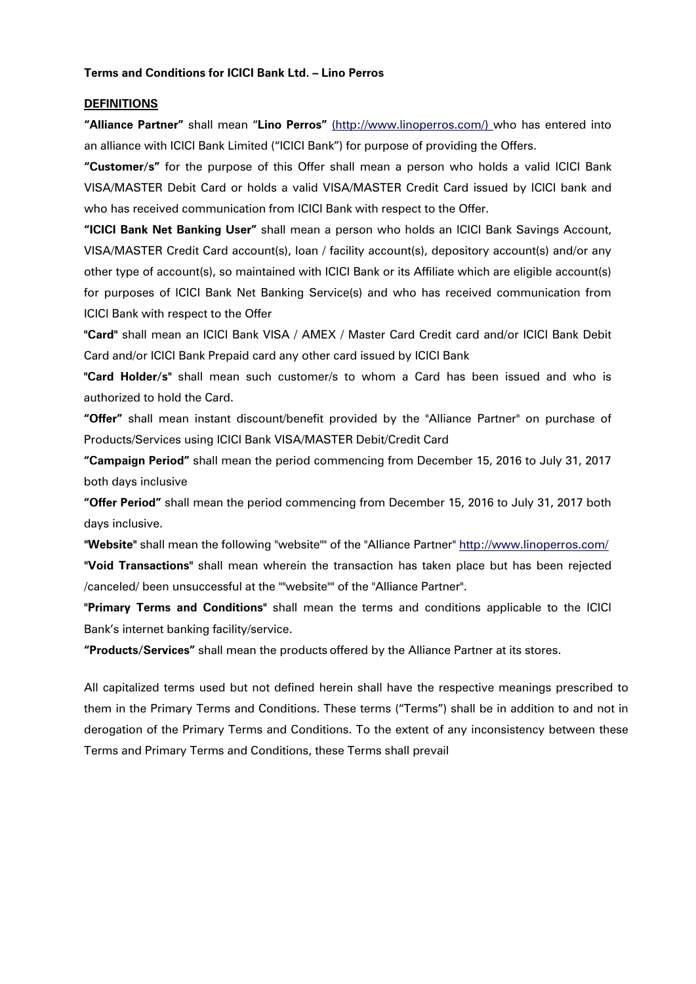#### **Terms and Conditions for ICICI Bank Ltd. – Lino Perros**

#### **DEFINITIONS**

**"Alliance Partner"** shall mean "**Lino Perros"** [\(http://www.linoperros.com/\)](http://www.linoperros.com/) who has entered into an alliance with ICICI Bank Limited ("ICICI Bank") for purpose of providing the Offers.

**"Customer/s"** for the purpose of this Offer shall mean a person who holds a valid ICICI Bank VISA/MASTER Debit Card or holds a valid VISA/MASTER Credit Card issued by ICICI bank and who has received communication from ICICI Bank with respect to the Offer.

**"ICICI Bank Net Banking User"** shall mean a person who holds an ICICI Bank Savings Account, VISA/MASTER Credit Card account(s), loan / facility account(s), depository account(s) and/or any other type of account(s), so maintained with ICICI Bank or its Affiliate which are eligible account(s) for purposes of ICICI Bank Net Banking Service(s) and who has received communication from ICICI Bank with respect to the Offer

**"Card"** shall mean an ICICI Bank VISA / AMEX / Master Card Credit card and/or ICICI Bank Debit Card and/or ICICI Bank Prepaid card any other card issued by ICICI Bank

**"Card Holder/s"** shall mean such customer/s to whom a Card has been issued and who is authorized to hold the Card.

**"Offer"** shall mean instant discount/benefit provided by the "Alliance Partner" on purchase of Products/Services using ICICI Bank VISA/MASTER Debit/Credit Card

**"Campaign Period"** shall mean the period commencing from December 15, 2016 to July 31, 2017 both days inclusive

**"Offer Period"** shall mean the period commencing from December 15, 2016 to July 31, 2017 both days inclusive.

**"Website"** shall mean the following "website"" of the "Alliance Partner" <http://www.linoperros.com/> **"Void Transactions"** shall mean wherein the transaction has taken place but has been rejected /canceled/ been unsuccessful at the ""website"" of the "Alliance Partner".

**"Primary Terms and Conditions"** shall mean the terms and conditions applicable to the ICICI Bank's internet banking facility/service.

**"Products/Services"** shall mean the products offered by the Alliance Partner at its stores.

All capitalized terms used but not defined herein shall have the respective meanings prescribed to them in the Primary Terms and Conditions. These terms ("Terms") shall be in addition to and not in derogation of the Primary Terms and Conditions. To the extent of any inconsistency between these Terms and Primary Terms and Conditions, these Terms shall prevail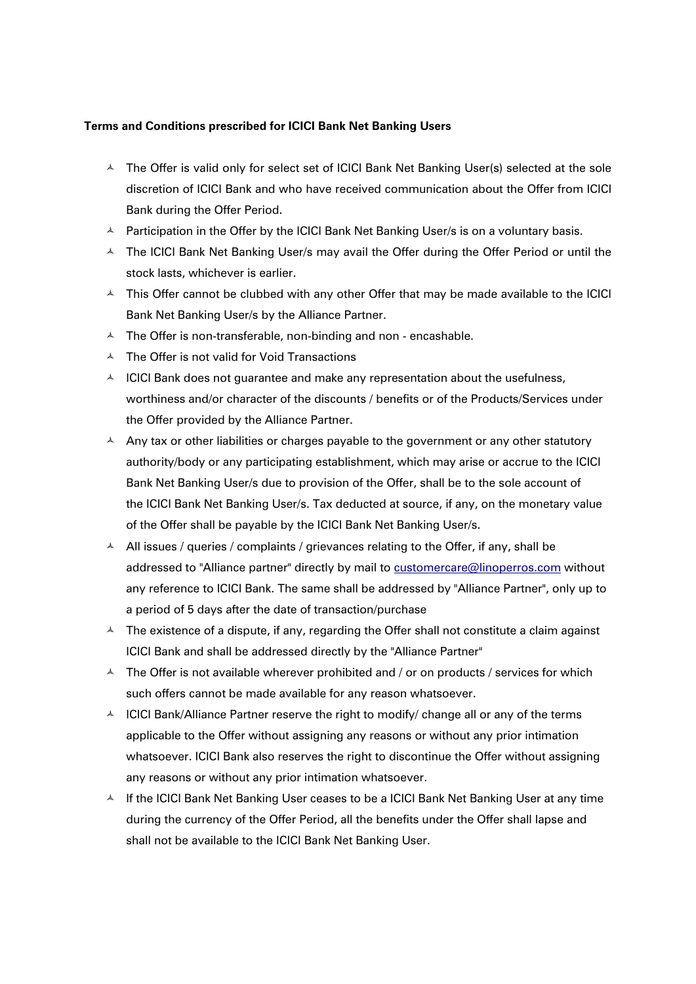### **Terms and Conditions prescribed for ICICI Bank Net Banking Users**

- $\triangle$  The Offer is valid only for select set of ICICI Bank Net Banking User(s) selected at the sole discretion of ICICI Bank and who have received communication about the Offer from ICICI Bank during the Offer Period.
- $\triangle$  Participation in the Offer by the ICICI Bank Net Banking User/s is on a voluntary basis.
- A The ICICI Bank Net Banking User/s may avail the Offer during the Offer Period or until the stock lasts, whichever is earlier.
- $\triangle$  This Offer cannot be clubbed with any other Offer that may be made available to the ICICI Bank Net Banking User/s by the Alliance Partner.
- $\overline{A}$  The Offer is non-transferable, non-binding and non encashable.
- $\triangle$  The Offer is not valid for Void Transactions
- $\triangle$  ICICI Bank does not quarantee and make any representation about the usefulness, worthiness and/or character of the discounts / benefits or of the Products/Services under the Offer provided by the Alliance Partner.
- $\triangle$  Any tax or other liabilities or charges payable to the government or any other statutory authority/body or any participating establishment, which may arise or accrue to the ICICI Bank Net Banking User/s due to provision of the Offer, shall be to the sole account of the ICICI Bank Net Banking User/s. Tax deducted at source, if any, on the monetary value of the Offer shall be payable by the ICICI Bank Net Banking User/s.
- $\triangle$  All issues / queries / complaints / grievances relating to the Offer, if any, shall be addressed to "Alliance partner" directly by mail to [customercare@linoperros.com](mailto:customercare@linoperros.com) without any reference to ICICI Bank. The same shall be addressed by "Alliance Partner", only up to a period of 5 days after the date of transaction/purchase
- $\textstyle\blacktriangle$  The existence of a dispute, if any, regarding the Offer shall not constitute a claim against ICICI Bank and shall be addressed directly by the "Alliance Partner"
- $\triangle$  The Offer is not available wherever prohibited and / or on products / services for which such offers cannot be made available for any reason whatsoever.
- $\triangle$  ICICI Bank/Alliance Partner reserve the right to modify/ change all or any of the terms applicable to the Offer without assigning any reasons or without any prior intimation whatsoever. ICICI Bank also reserves the right to discontinue the Offer without assigning any reasons or without any prior intimation whatsoever.
- $\textstyle\blacktriangle$  If the ICICI Bank Net Banking User ceases to be a ICICI Bank Net Banking User at any time during the currency of the Offer Period, all the benefits under the Offer shall lapse and shall not be available to the ICICI Bank Net Banking User.